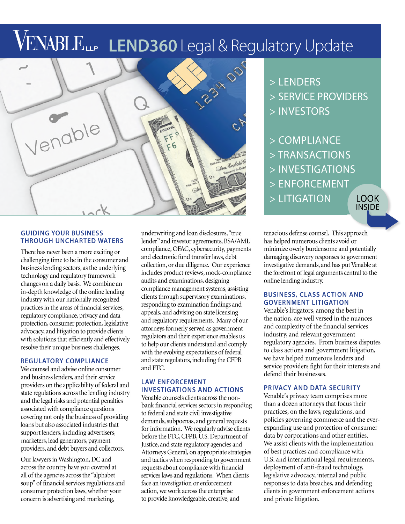# VENABLELLE LEND360 Legal & Regulatory Update



#### **GUIDING YOUR BUSINESS THROUGH UNCHARTED WATERS**

There has never been a more exciting or challenging time to be in the consumer and business lending sectors, as the underlying technology and regulatory framework changes on a daily basis. We combine an in-depth knowledge of the online lending industry with our nationally recognized practices in the areas of financial services, regulatory compliance, privacy and data protection, consumer protection, legislative advocacy, and litigation to provide clients with solutions that efficiently and effectively resolve their unique business challenges.

#### **REGULATORY COMPLIANCE**

We counsel and advise online consumer and business lenders, and their service providers on the applicability of federal and state regulations across the lending industry and the legal risks and potential penalties associated with compliance questions covering not only the business of providing loans but also associated industries that support lenders, including advertisers, marketers, lead generators, payment providers, and debt buyers and collectors.

Our lawyers in Washington, DC and across the country have you covered at all of the agencies across the "alphabet soup" of financial services regulations and consumer protection laws, whether your concern is advertising and marketing,

underwriting and loan disclosures, "true lender" and investor agreements, BSA/AML compliance, OFAC, cybersecurity, payments and electronic fund transfer laws, debt collection, or due diligence. Our experience includes product reviews, mock-compliance audits and examinations, designing compliance management systems, assisting clients through supervisory examinations, responding to examination findings and appeals, and advising on state licensing and regulatory requirements. Many of our attorneys formerly served as government regulators and their experience enables us to help our clients understand and comply with the evolving expectations of federal and state regulators, including the CFPB and FTC.

### **LAW ENFORCEMENT INVESTIGATIONS AND ACTIONS**

Venable counsels clients across the nonbank financial services sectors in responding to federal and state civil investigative demands, subpoenas, and general requests for information. We regularly advise clients before the FTC, CFPB, U.S. Department of Justice, and state regulatory agencies and Attorneys General, on appropriate strategies and tactics when responding to government requests about compliance with financial services laws and regulations. When clients face an investigation or enforcement action, we work across the enterprise to provide knowledgeable, creative, and

- > LENDERS > SERVICE PROVIDERS > INVESTORS
- > COMPLIANCE
- > TRANSACTIONS
- > INVESTIGATIONS
- > ENFORCEMENT
- > LITIGATION

**LOOK INSIDE** 

tenacious defense counsel. This approach has helped numerous clients avoid or minimize overly burdensome and potentially damaging discovery responses to government investigative demands, and has put Venable at the forefront of legal arguments central to the online lending industry.

#### **BUSINESS, CLASS ACTION AND GOVERNMENT LITIGATION**

Venable's litigators, among the best in the nation, are well versed in the nuances and complexity of the financial services industry, and relevant government regulatory agencies. From business disputes to class actions and government litigation, we have helped numerous lenders and service providers fight for their interests and defend their businesses.

#### PRIVACY AND DATA SECURITY

Venable's privacy team comprises more than a dozen attorneys that focus their practices, on the laws, regulations, and policies governing ecommerce and the everexpanding use and protection of consumer data by corporations and other entities. We assist clients with the implementation of best practices and compliance with U.S. and international legal requirements, deployment of anti-fraud technology, legislative advocacy, internal and public responses to data breaches, and defending clients in government enforcement actions and private litigation.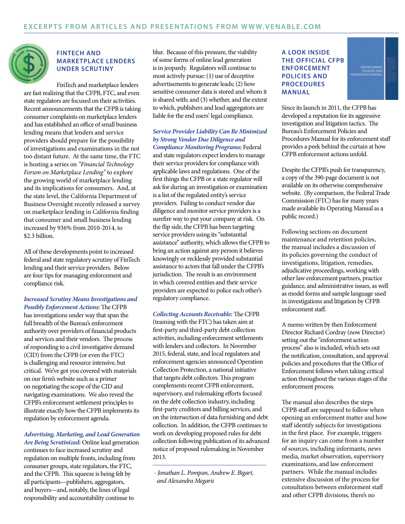

#### **FINTECH AND MARKETPLACE LENDERS** UNDER SCRUTINY

FinTech and marketplace lenders are fast realizing that the CFPB, FTC, and even state regulators are focused on their activities. Recent announcements that the CFPB is taking consumer complaints on marketplace lenders and has established an office of small business lending means that lenders and service providers should prepare for the possibility of investigations and examinations in the not too distant future. At the same time, the FTC is hosting a series on "Financial Technology Forum on Marketplace Lending" to explore the growing world of marketplace lending and its implications for consumers. And, at the state level, the California Department of Business Oversight recently released a survey on marketplace lending in California finding that consumer and small business lending increased by 936% from 2010-2014, to \$2.3 billion.

All of these developments point to increased federal and state regulatory scrutiny of FinTech lending and their service providers. Below are four tips for managing enforcement and compliance risk.

#### Increased Scrutiny Means Investigations and Possibly Enforcement Actions: The CFPB

has investigations under way that span the full breadth of the Bureau's enforcement authority over providers of financial products and services and their vendors. The process of responding to a civil investigative demand (CID) from the CFPB (or even the FTC) is challenging and resource intensive, but critical. We've got you covered with materials on our firm's website such as a primer on negotiating the scope of the CID and navigating examinations. We also reveal the CFPB's enforcement settlement principles to illustrate exactly how the CFPB implements its regulation by enforcement agenda.

#### Advertising, Marketing, and Lead Generation

Are Being Scrutinized: Online lead generation continues to face increased scrutiny and regulation on multiple fronts, including from  $\overline{C}$  consumer groups, state regulators, the FTC, and the CFPB. This squeeze is being felt by all participants-publishers, aggregators, and buyers-and, notably, the lines of legal responsibility and accountability continue to

blur. Because of this pressure, the viability of some forms of online lead generation is in jeopardy. Regulators will continue to most actively pursue: (1) use of deceptive advertisements to generate leads;  $(2)$  how sensitive consumer data is stored and whom it is shared with: and  $(3)$  whether, and the extent to which, publishers and lead aggregators are liable for the end users' legal compliance.

#### Service Provider Liability Can Be Minimized by Strong Vendor Due Diligence and Compliance Monitoring Programs: Federal

and state regulators expect lenders to manage their service providers for compliance with applicable laws and regulations. One of the first things the CFPB or a state regulator will ask for during an investigation or examination is a list of the regulated entity's service providers. Failing to conduct vendor due diligence and monitor service providers is a surefire way to put your company at risk. On the flip side, the CFPB has been targeting service providers using its "substantial assistance" authority, which allows the CFPB to bring an action against any person it believes knowingly or recklessly provided substantial assistance to actors that fall under the CFPB's jurisdiction. The result is an environment in which covered entities and their service providers are expected to police each other's regulatory compliance.

Collecting Accounts Receivable: The CFPB (teaming with the FTC) has taken aim at first-party and third-party debt collection activities, including enforcement settlements with lenders and collectors. In November 2015, federal, state, and local regulators and enforcement agencies announced Operation Collection Protection, a national initiative that targets debt collectors. This program complements recent CFPB enforcement, supervisory, and rulemaking efforts focused on the debt collection industry, including first-party creditors and billing services, and on the intersection of data furnishing and debt collection. In addition, the CFPB continues to work on developing proposed rules for debt collection following publication of its advanced notice of proposed rulemaking in November 2013.

- Jonathan L. Pompan, Andrew E. Bigart, and Alexandra Megaris

#### **A LOOK INSIDE** THE OFFICIAL CFPB ENFORCEMENT **POLICIES AND PROCEDURES MANUAL**

Since its launch in 2011, the CFPB has developed a reputation for its aggressive investigation and litigation tactics. The Bureau's Enforcement Policies and Procedures Manual for its enforcement staff provides a peek behind the curtain at how CFPB enforcement actions unfold.

ENFORCEMENT<br>POLICIES AND<br>DURES MANUAL

Despite the CFPB's push for transparency, a copy of the 390-page document is not available on its otherwise comprehensive website. (By comparison, the Federal Trade Commission (FTC) has for many years made available its Operating Manual as a public record.)

Following sections on document maintenance and retention policies, the manual includes a discussion of its policies governing the conduct of investigations, litigation, remedies, adjudicative proceedings, working with other law enforcement partners, practice guidance, and administrative issues, as well as model forms and sample language used in investigations and litigation by CFPB enforcement staff.

A memo written by then Enforcement Director Richard Cordray (now Director) setting out the "enforcement action process" also is included, which sets out the notification, consultation, and approval policies and procedures that the Office of Enforcement follows when taking critical action throughout the various stages of the enforcement process.

The manual also describes the steps CFPB staff are supposed to follow when opening an enforcement matter and how staff identify subjects for investigations in the first place. For example, triggers for an inquiry can come from a number of sources, including informants, news media, market observation, supervisory examinations, and law enforcement partners. While the manual includes extensive discussion of the process for consultation between enforcement staff and other CFPB divisions, there's no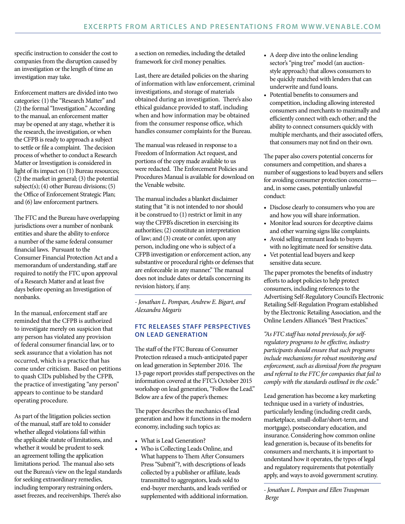specific instruction to consider the cost to companies from the disruption caused by an investigation or the length of time an investigation may take.

Enforcement matters are divided into two categories: (1) the "Research Matter" and (2) the formal "Investigation." According to the manual, an enforcement matter may be opened at any stage, whether it is the research, the investigation, or when the CFPB is ready to approach a subject to settle or file a complaint. The decision process of whether to conduct a Research Matter or Investigation is considered in light of its impact on (1) Bureau resources;  $(2)$  the market in general;  $(3)$  the potential  $subject(s); (4)$  other Bureau divisions; (5) the Office of Enforcement Strategic Plan; and (6) law enforcement partners.

The FTC and the Bureau have overlapping jurisdictions over a number of nonbank entities and share the ability to enforce a number of the same federal consumer financial laws. Pursuant to the Consumer Financial Protection Act and a memorandum of understanding, staff are required to notify the FTC upon approval of a Research Matter and at least five days before opening an Investigation of nonbanks.

In the manual, enforcement staff are reminded that the CFPB is authorized to investigate merely on suspicion that any person has violated any provision of federal consumer financial law, or to seek assurance that a violation has not occurred, which is a practice that has come under criticism. Based on petitions to quash CIDs published by the CFPB, the practice of investigating "any person" appears to continue to be standard operating procedure.

As part of the litigation policies section of the manual, staff are told to consider whether alleged violations fall within the applicable statute of limitations, and whether it would be prudent to seek an agreement tolling the application limitations period. The manual also sets out the Bureau's view on the legal standards for seeking extraordinary remedies, including temporary restraining orders, asset freezes, and receiverships. There's also

a section on remedies, including the detailed framework for civil money penalties.

Last, there are detailed policies on the sharing of information with law enforcement, criminal investigations, and storage of materials obtained during an investigation. There's also ethical guidance provided to staff, including when and how information may be obtained from the consumer response office, which handles consumer complaints for the Bureau.

The manual was released in response to a Freedom of Information Act request, and portions of the copy made available to us were redacted. The Enforcement Policies and Procedures Manual is available for download on the Venable website.

The manual includes a blanket disclaimer stating that "it is not intended to nor should it be construed to (1) restrict or limit in any way the CFPB's discretion in exercising its authorities; (2) constitute an interpretation of law; and (3) create or confer, upon any person, including one who is subject of a CFPB investigation or enforcement action, any substantive or procedural rights or defenses that are enforceable in any manner." The manual does not include dates or details concerning its revision history, if any.

- Jonathan L. Pompan, Andrew E. Bigart, and Alexandra Megaris

#### FTC RELEASES STAFF PERSPECTIVES ON LEAD GENERATION

The staff of the FTC Bureau of Consumer Protection released a much-anticipated paper on lead generation in September 2016. The 13-page report provides staff perspectives on the information covered at the FTC's October 2015 workshop on lead generation, "Follow the Lead." Below are a few of the paper's themes:

The paper describes the mechanics of lead generation and how it functions in the modern economy, including such topics as:

- What is Lead Generation?
- Who is Collecting Leads Online, and What happens to Them After Consumers Press "Submit"?, with descriptions of leads collected by a publisher or affiliate, leads transmitted to aggregators, leads sold to end-buyer merchants, and leads verified or supplemented with additional information.
- A deep dive into the online lending sector's "ping tree" model (an auctionstyle approach) that allows consumers to be quickly matched with lenders that can  $y^T$  underwrite and fund loans
- Potential benefits to consumers and competition, including allowing interested consumers and merchants to maximally and efficiently connect with each other; and the ability to connect consumers quickly with multiple merchants, and their associated offers, that consumers may not find on their own.

The paper also covers potential concerns for consumers and competition, and shares a number of suggestions to lead buyers and sellers for avoiding consumer protection concernsand, in some cases, potentially unlawful conduct:

- Disclose clearly to consumers who you are and how you will share information.
- $\bullet$  Monitor lead sources for deceptive claims and other warning signs like complaints.
- Avoid selling remnant leads to buyers with no legitimate need for sensitive data.
- Vet potential lead buyers and keep sensitive data secure.

The paper promotes the benefits of industry efforts to adopt policies to help protect consumers, including references to the Advertising Self-Regulatory Council's Electronic Retailing Self-Regulation Program established by the Electronic Retailing Association, and the Online Lenders Alliance's "Best Practices."

"As FTC staff has noted previously, for selfregulatory programs to be effective, industry participants should ensure that such programs  $\frac{1}{2}$  include mechanisms for robust monitoring and enforcement, such as dismissal from the program and referral to the FTC for companies that fail to comply with the standards outlined in the code."

Lead generation has become a key marketing technique used in a variety of industries, particularly lending (including credit cards, marketplace, small-dollar/short-term, and mortgage), postsecondary education, and insurance. Considering how common online lead generation is, because of its benefits for consumers and merchants, it is important to understand how it operates, the types of legal and regulatory requirements that potentially apply, and ways to avoid government scrutiny.

- Jonathan L. Pompan and Ellen Traupman Berge